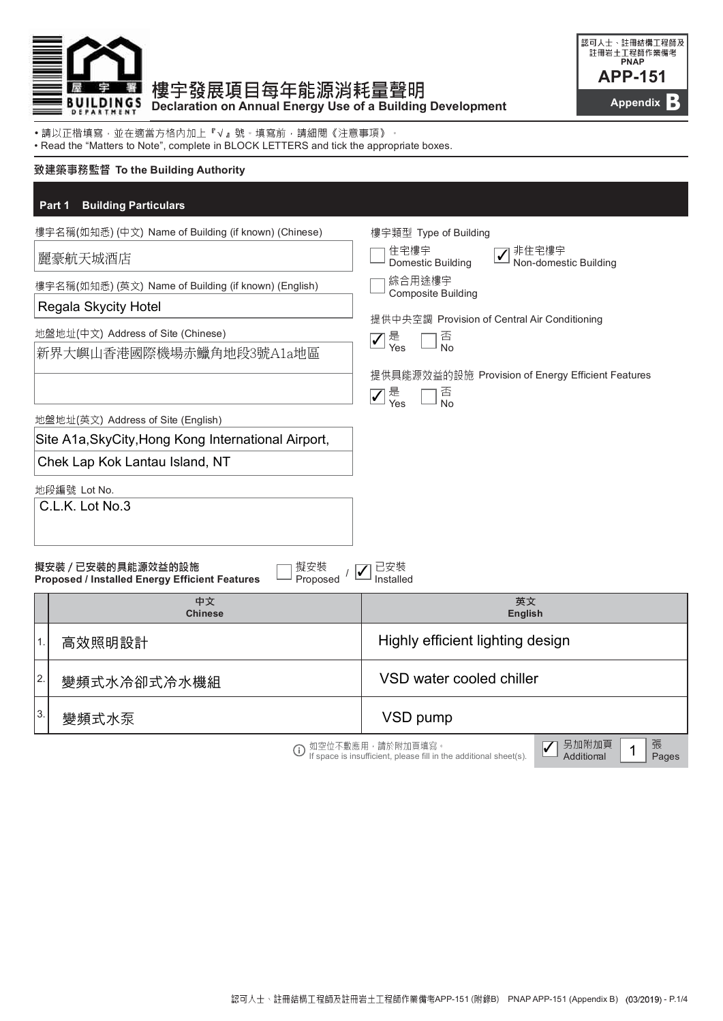

## 樓宇發展項目每年能源消耗量聲明 BUILDINGS BED ON Annual Energy Use of a Building Development



• • Read the "Matters to Note", complete in BLOCK LETTERS and tick the appropriate boxes.

### 致建築事務監督 To the Building Authority

### Part 1 Building Particulars

| 樓宇名稱(如知悉) (中文) Name of Building (if known) (Chinese)                                                        |                                                      | 樓宇類型 Type of Building                                                                                                      |  |  |
|-------------------------------------------------------------------------------------------------------------|------------------------------------------------------|----------------------------------------------------------------------------------------------------------------------------|--|--|
|                                                                                                             | 麗豪航天城酒店                                              | 住宅樓宇<br>✔ 非住宅樓宇<br>■ Non-domestic Building<br>Domestic Building                                                            |  |  |
| 樓宇名稱(如知悉) (英文) Name of Building (if known) (English)                                                        |                                                      | 綜合用途樓宇<br><b>Composite Building</b>                                                                                        |  |  |
|                                                                                                             | Regala Skycity Hotel                                 |                                                                                                                            |  |  |
|                                                                                                             | 地盤地址(中文) Address of Site (Chinese)                   | 提供中央空調 Provision of Central Air Conditioning                                                                               |  |  |
|                                                                                                             | 新界大嶼山香港國際機場赤鱲角地段3號A1a地區                              | 是<br>Yes<br>否<br>No<br>$\boxed{\checkmark}$                                                                                |  |  |
|                                                                                                             |                                                      | 提供具能源效益的設施 Provision of Energy Efficient Features                                                                          |  |  |
|                                                                                                             |                                                      | 否<br>No<br>是<br>Yes<br>$\overline{\checkmark}$                                                                             |  |  |
|                                                                                                             | 地盤地址(英文) Address of Site (English)                   |                                                                                                                            |  |  |
|                                                                                                             | Site A1a, Sky City, Hong Kong International Airport, |                                                                                                                            |  |  |
|                                                                                                             | Chek Lap Kok Lantau Island, NT                       |                                                                                                                            |  |  |
|                                                                                                             | 地段編號 Lot No.                                         |                                                                                                                            |  |  |
|                                                                                                             | C.L.K. Lot No.3                                      |                                                                                                                            |  |  |
|                                                                                                             |                                                      |                                                                                                                            |  |  |
| 擬安裝 / 已安裝的具能源效益的設施<br>擬安裝<br>Proposed<br>Installed<br><b>Proposed / Installed Energy Efficient Features</b> |                                                      |                                                                                                                            |  |  |
|                                                                                                             | 中文<br><b>Chinese</b>                                 | 英文<br><b>English</b>                                                                                                       |  |  |
| 1.                                                                                                          | 高效照明設計                                               | Highly efficient lighting design                                                                                           |  |  |
| 2.                                                                                                          | 變頻式水冷卻式冷水機組                                          | VSD water cooled chiller                                                                                                   |  |  |
| 3.                                                                                                          | 變頻式水泵                                                | VSD pump                                                                                                                   |  |  |
|                                                                                                             |                                                      | 張<br>另加附加頁<br>如空位不敷應用,請於附加頁填寫。<br>If space is insufficient, please fill in the additional sheet(s).<br>Additional<br>Pages |  |  |

**If** space is insufficient, please fill in the additional sheet(s). **Additional Pages**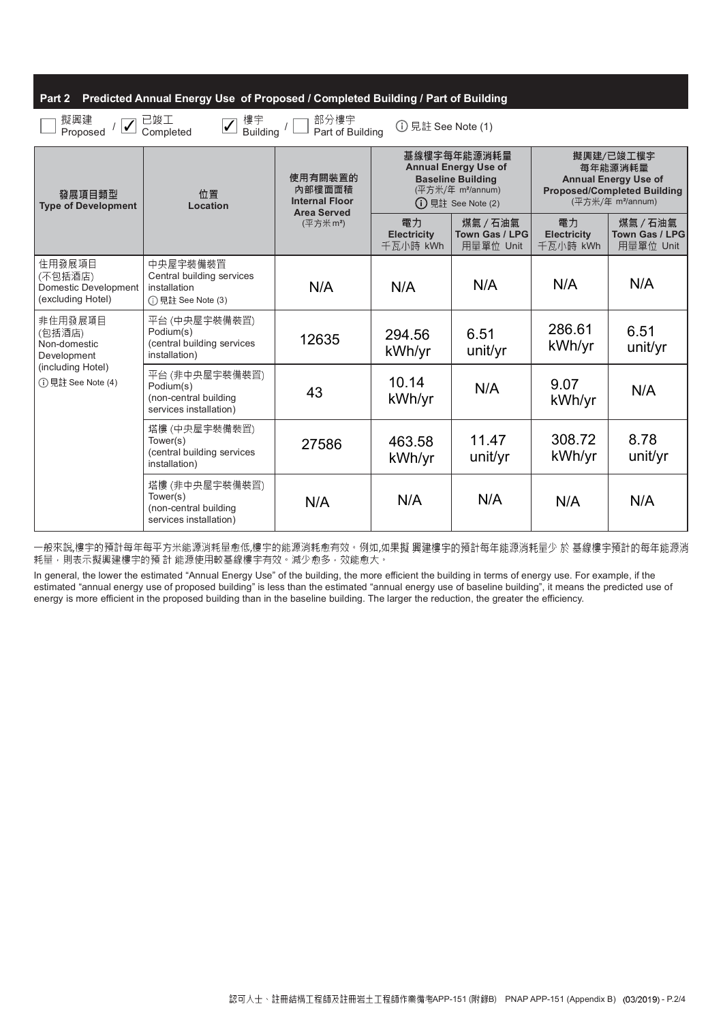### Part 2 Predicted Annual Energy Use of Proposed / Completed Building / Part of Building

| 擬興建<br>已竣工<br>樓宇<br>部分樓宇<br>Part of Building<br>① 見註 See Note (1)<br>Building /<br>Proposed<br>Completed |                                                                                |                                                                                          |                                                                                                                                  |                                         |                                                                                                                            |                                         |
|----------------------------------------------------------------------------------------------------------|--------------------------------------------------------------------------------|------------------------------------------------------------------------------------------|----------------------------------------------------------------------------------------------------------------------------------|-----------------------------------------|----------------------------------------------------------------------------------------------------------------------------|-----------------------------------------|
| 發展項目類型<br><b>Type of Development</b>                                                                     | 位置<br>Location                                                                 | 使用有關裝置的<br>內部樓面面積<br><b>Internal Floor</b><br><b>Area Served</b><br>(平方米m <sup>2</sup> ) | 基線樓宇每年能源消耗量<br><b>Annual Energy Use of</b><br><b>Baseline Building</b><br>(平方米/年 m <sup>2</sup> /annum)<br>$(i)$ 見註 See Note (2) |                                         | 擬興建/已竣工樓宇<br>每年能源消耗量<br><b>Annual Energy Use of</b><br><b>Proposed/Completed Building</b><br>(平方米/年 m <sup>2</sup> /annum) |                                         |
|                                                                                                          |                                                                                |                                                                                          | 電力<br><b>Electricity</b><br>千瓦小時 kWh                                                                                             | 煤氣 / 石油氣<br>Town Gas / LPG<br>用量單位 Unit | 電力<br><b>Electricity</b><br>千瓦小時 kWh                                                                                       | 煤氣 / 石油氣<br>Town Gas / LPG<br>用量單位 Unit |
| 住用發展項目<br>(不包括酒店)<br>Domestic Development<br>(excluding Hotel)                                           | 中央屋宇裝備裝置<br>Central building services<br>installation<br>(i) 見註 See Note (3)   |                                                                                          | N/A                                                                                                                              | N/A                                     | N/A                                                                                                                        | N/A                                     |
| 非住用發展項目<br>(包括酒店)<br>Non-domestic<br>Development                                                         | 平台 (中央屋宇装備装置)<br>Podium(s)<br>(central building services<br>installation)      | 12635                                                                                    | 294.56<br>kWh/yr                                                                                                                 | 6.51<br>unit/yr                         | 286.61<br>kWh/yr                                                                                                           | 6.51<br>unit/yr                         |
| (including Hotel)<br>(i) 見註 See Note (4)                                                                 | 平台 (非中央屋宇装備装置)<br>Podium(s)<br>(non-central building<br>services installation) | 43                                                                                       | 10.14<br>kWh/yr                                                                                                                  | N/A                                     | 9.07<br>kWh/yr                                                                                                             | N/A                                     |
|                                                                                                          | 塔樓 (中央屋宇裝備裝置)<br>Tower(s)<br>(central building services<br>installation)       | 27586                                                                                    | 463.58<br>kWh/yr                                                                                                                 | 11.47<br>unit/yr                        | 308.72<br>kWh/yr                                                                                                           | 8.78<br>unit/yr                         |
|                                                                                                          | 塔樓 (非中央屋宇裝備裝置)<br>Tower(s)<br>(non-central building<br>services installation)  | N/A                                                                                      | N/A                                                                                                                              | N/A                                     | N/A                                                                                                                        | N/A                                     |

一般來說,樓宇的預計每年每平方米能源消耗量愈低,樓宇的能源消耗愈有效。例如,如果擬 興建樓宇的預計每年能源消耗量少 於 基線樓宇預計的每年能源消 耗量,則表示擬興建樓宇的預計 能源使用較基線樓宇有效。減少愈多,效能愈大。

In general, the lower the estimated "Annual Energy Use" of the building, the more efficient the building in terms of energy use. For example, if the estimated "annual energy use of proposed building" is less than the estimated "annual energy use of baseline building", it means the predicted use of energy is more efficient in the proposed building than in the baseline building. The larger the reduction, the greater the efficiency.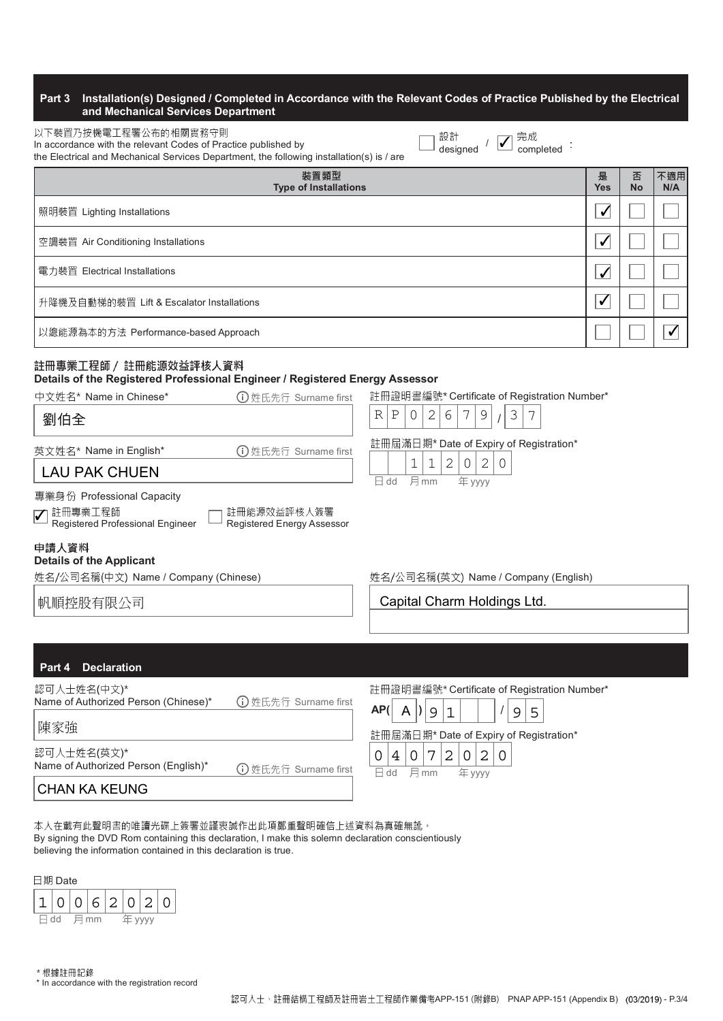### Part 3 Installation(s) Designed / Completed in Accordance with the Relevant Codes of Practice Published by the Electrical and Mechanical Services Department

| 以下裝置乃按機電工程署公布的相關實務守則                                                                      |
|-------------------------------------------------------------------------------------------|
| In accordance with the relevant Codes of Practice published by                            |
| the Electrical and Mechanical Services Department, the following installation(s) is / are |

| 設計       |  |           |  |
|----------|--|-----------|--|
|          |  | ○ 完成      |  |
| designed |  | completed |  |

| 裝置類型<br><b>Type of Installations</b>      | 是<br><b>Yes</b> | 否<br><b>No</b> | 不適用<br>N/A |
|-------------------------------------------|-----------------|----------------|------------|
| 照明裝置 Lighting Installations               | ✔               |                |            |
| 空調裝置 Air Conditioning Installations       | √               |                |            |
| 電力裝置 Electrical Installations             | ✓               |                |            |
| 升降機及自動梯的裝置 Lift & Escalator Installations | √               |                |            |
| 以總能源為本的方法 Performance-based Approach      |                 |                |            |

# 註冊專業工程師 / 註冊能源效益評核人資料

### Details of the Registered Professional Engineer / Registered Energy Assessor

| 中文姓名* Name in Chinese*<br>1 姓氏先行 Surname first                                                                          |                                                                                                | 註冊證明書編號* Certificate of Registration Number*           |
|-------------------------------------------------------------------------------------------------------------------------|------------------------------------------------------------------------------------------------|--------------------------------------------------------|
| 劉伯全                                                                                                                     | 7<br>Ρ<br>2<br>6<br>R<br>$\overline{0}$                                                        | 3<br>9                                                 |
| 英文姓名* Name in English*<br>(i) 姓氏先行 Surname first<br><b>LAU PAK CHUEN</b><br>專業身份 Professional Capacity                  | 註冊屆滿日期* Date of Expiry of Registration*<br>2<br>1<br>1<br>0<br>月mm<br>$\boxminus$ dd<br>年 yyyy | $\mathbf{2}$<br>0                                      |
| 註冊能源效益評核人簽署<br>註冊專業工程師<br>$\blacktriangledown$<br>Registered Professional Engineer<br><b>Registered Energy Assessor</b> |                                                                                                |                                                        |
| 申請人資料<br><b>Details of the Applicant</b><br>姓名/公司名稱(中文) Name / Company (Chinese)                                        |                                                                                                | 姓名/公司名稱(英文) Name / Company (English)                   |
| 帆順控股有限公司                                                                                                                | Capital Charm Holdings Ltd.                                                                    |                                                        |
|                                                                                                                         |                                                                                                |                                                        |
| <b>Declaration</b><br>Part 4                                                                                            |                                                                                                |                                                        |
| 認可人士姓名(中文)*<br>Name of Authorized Person (Chinese)*<br>(i) 姓氏先行 Surname first                                           | AP(<br>9<br>1                                                                                  | 註冊證明書編號* Certificate of Registration Number*<br>5<br>9 |
| 随家強                                                                                                                     |                                                                                                |                                                        |

認可人士姓名(英文)\*

Name of Authorized Person (English)\* (i)姓氏先行 Surname first

註冊屆滿日期\* Date of Expiry of Registration\* 日 dd 月 mm 年 yyyy  $0|4|0|7|2|0|2|0$ 

CHAN KA KEUNG

本人在載有此聲明書的唯讀光碟上簽署並謹衷誠作出此項鄭重聲明確信上述資料為真確無訛。 By signing the DVD Rom containing this declaration, I make this solemn declaration conscientiously believing the information contained in this declaration is true.

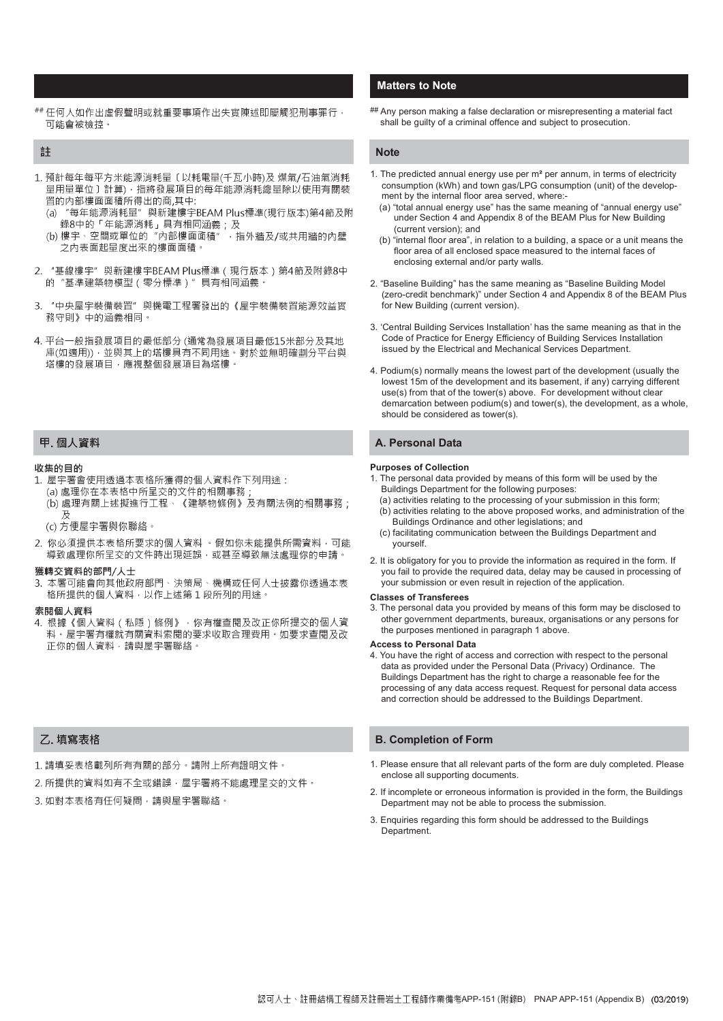## 任何人如作出虛假聲明或就重要事項作出失實陳述即屬觸犯刑事罪行 · ## Any person making a false declaration or misrepresenting a material fact 可能會被檢控。

#### 註

- 1. 預計每年每平方米能源消耗量〔以耗電量(千瓦小時)及 煤氣/石油氣消耗 量用量單位〕計算),指將發展項目的每年能源消耗總量除以使用有關裝 置的内部樓面面積所得出的商,其中:
	- $(a)$ 、3) →→‰◎《年能源消耗』具有相同涵義;及<br> 錄8中的「年能源消耗」具有相同涵義;及<br>(b) 樓宇丶空間或單位的‴內部樓面面積″ ,指外牆及/或共用牆的內壁
	- 之内表面起量度出來的樓面面積。
- "基線樓宇" 與新建樓宇BEAM Plus標準 (現行版本) 第4節及附錄8中  $\mathcal{L}$ 的"基準建築物模型 (零分標準)" 具有相同涵義。
- 3. "中央屋宇裝備裝置" 與機電工程署發出的《屋宇裝備裝置能源效益實 務守則》中的涵義相同。
- 4. 平台一般指發展項目的最低部分 (通常為發展項目最低15米部分及其地 庫(如適用)),並與其上的塔樓具有不同用途。對於並無明確劃分平台與 塔樓的發展項目,應視整個發展項目為塔樓。

#### 甲. 個人資料

#### 收集的日的

- 1. 屋宇署會使用透過本表格所獲得的個人資料作下列用途:
	- (a) 處理你在本表格中所呈交的文件的相關事務
	- (b) 處理有關上述擬進行工程、《建築物條例》及有關法例的相關事務;
	- (c) 方便屋宇署與你聯絡。
- 2. 你必須提供本表格所要求的個人資料 。假如你未能提供所需資料,可能 導致處理你所呈交的文件時出現延誤,或甚至導致無法處理你的申請。

#### 獲轉交資料的部門/人十

3. 本署可能會向其他政府部門、決策局、機構或任何人士披露你透過本表 格所提供的個人資料,以作上述第1段所列的用途。

#### 索閱個人資料

4. 根據《個人資料 ( 私隱 ) 條例》, 你有權查閱及改正你所提交的個人資 料。屋宇署有權就有關資料索閱的要求收取合理費用。如要求查閱及改 正你的個人資料,請與屋宇署聯絡。

### 7. 填寫表格

- 1. 請填妥表格載列所有有關的部分。請附上所有證明文件。
- 2. 所提供的資料如有不全或錯誤, 屋宇署將不能處理呈交的文件。
- 3. 如對本表格有任何疑問,請與屋宇署聯絡。

### Matters to Note

shall be guilty of a criminal offence and subject to prosecution.

#### **Note**

- 1. The predicted annual energy use per m² per annum, in terms of electricity consumption (kWh) and town gas/LPG consumption (unit) of the development by the internal floor area served, where:-
	- (a) "total annual energy use" has the same meaning of "annual energy use" under Section 4 and Appendix 8 of the BEAM Plus for New Building (current version); and
	- (b) "internal floor area", in relation to a building, a space or a unit means the floor area of all enclosed space measured to the internal faces of enclosing external and/or party walls.
- 2. "Baseline Building" has the same meaning as "Baseline Building Model (zero-credit benchmark)" under Section 4 and Appendix 8 of the BEAM Plus for New Building (current version).
- 3. 'Central Building Services Installation' has the same meaning as that in the Code of Practice for Energy Efficiency of Building Services Installation issued by the Electrical and Mechanical Services Department.
- 4. Podium(s) normally means the lowest part of the development (usually the lowest 15m of the development and its basement, if any) carrying different use(s) from that of the tower(s) above. For development without clear demarcation between podium(s) and tower(s), the development, as a whole, should be considered as tower(s).

### A. Personal Data

#### Purposes of Collection

- 1. The personal data provided by means of this form will be used by the Buildings Department for the following purposes:
- (a) activities relating to the processing of your submission in this form; (b) activities relating to the above proposed works, and administration of the Buildings Ordinance and other legislations; and
- (c) facilitating communication between the Buildings Department and yourself.
- 2. It is obligatory for you to provide the information as required in the form. If you fail to provide the required data, delay may be caused in processing of your submission or even result in rejection of the application.

#### Classes of Transferees

3. The personal data you provided by means of this form may be disclosed to other government departments, bureaux, organisations or any persons for the purposes mentioned in paragraph 1 above.

#### Access to Personal Data

4. You have the right of access and correction with respect to the personal data as provided under the Personal Data (Privacy) Ordinance. The Buildings Department has the right to charge a reasonable fee for the processing of any data access request. Request for personal data access and correction should be addressed to the Buildings Department.

#### B. Completion of Form

- 1. Please ensure that all relevant parts of the form are duly completed. Please enclose all supporting documents.
- 2. If incomplete or erroneous information is provided in the form, the Buildings Department may not be able to process the submission.
- 3. Enquiries regarding this form should be addressed to the Buildings Department.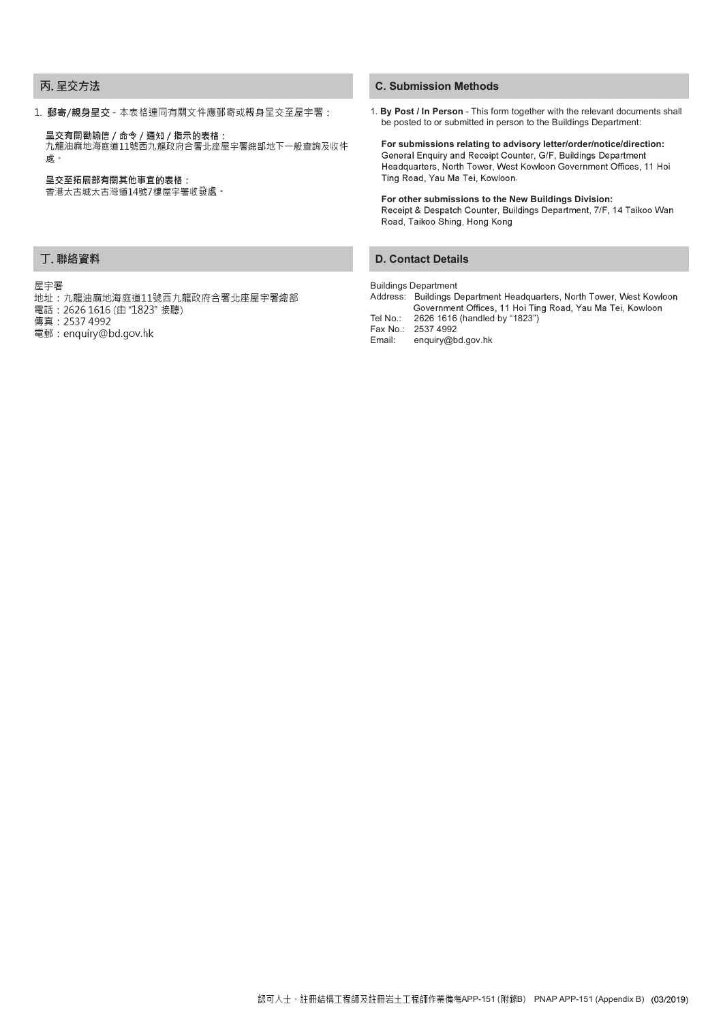### 丙. 呈交方法

1. 郵寄/親身呈交 - 本表格連同有關文件應郵寄或親身呈交至屋宇署: 1. By Post / In Person - This form together with the relevant documents shall

呈交有關勸諭信 / 命令 / 通知 / 指示的表格:

九龍油麻地海庭道11號西九龍政府合署北座屋宇署總部地下一般查詢及收件 慮。

#### 呈交至拓展部有關其他事宜的表格:

香港太古城太古灣道14號7樓屋宇署收發處。

### 丁. 聯絡資料

#### 屋宇署

- 地址:九龍油麻地海庭道11號西九龍政府合署北座屋宇署總部
- 電話: 2626 1616 (由 "1823" 接聽)
- 傳真: 2537 4992
- 電郵: enquiry@bd.gov.hk

### C. Submission Methods

be posted to or submitted in person to the Buildings Department:

For submissions relating to advisory letter/order/notice/direction:<br>General Enquiry and Receipt Counter, G/F, Buildings Department Headquarters, North Tower, West Kowloon Government Offices, 11 Hoi Ting Road, Yau Ma Tei, Kowloon.

For other submissions to the New Buildings Division:<br>Receipt & Despatch Counter, Buildings Department, 7/F, 14 Taikoo Wan Road, Taikoo Shing, Hong Kong

### D. Contact Details

#### Buildings Department

Address: Buildings Department Headquarters, North Tower, West Kowloon Government Offices, 11 Hoi Ting Road, Yau Ma Tei, Kowloon

Tel No.: 2626 1616 (handled by "1823")

Fax No.: 2537 4992<br>Email: enquiry@b enquiry@bd.gov.hk